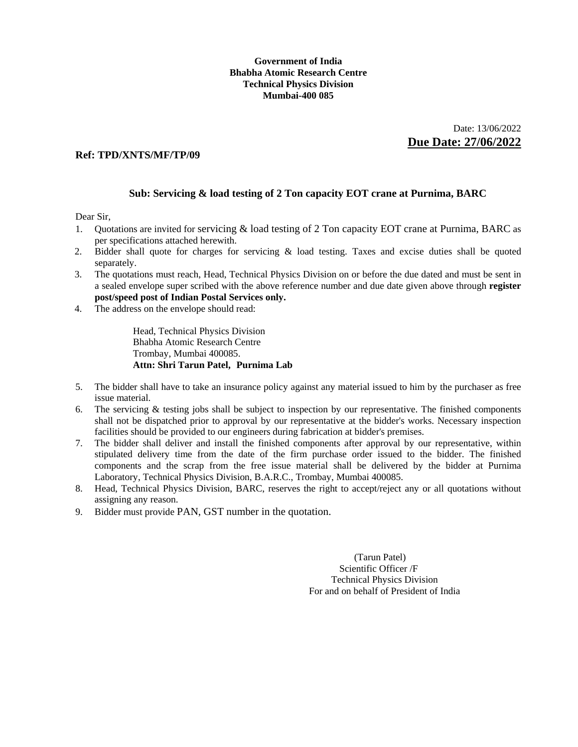### **Government of India Bhabha Atomic Research Centre Technical Physics Division Mumbai-400 085**

 Date: 13/06/2022 **Due Date: 27/06/2022** 

### **Ref: TPD/XNTS/MF/TP/09**

### **Sub: Servicing & load testing of 2 Ton capacity EOT crane at Purnima, BARC**

Dear Sir,

- 1. Quotations are invited for servicing & load testing of 2 Ton capacity EOT crane at Purnima, BARC as per specifications attached herewith.
- 2. Bidder shall quote for charges for servicing & load testing. Taxes and excise duties shall be quoted separately.
- 3. The quotations must reach, Head, Technical Physics Division on or before the due dated and must be sent in a sealed envelope super scribed with the above reference number and due date given above through **register post/speed post of Indian Postal Services only.**
- 4. The address on the envelope should read:

 Head, Technical Physics Division Bhabha Atomic Research Centre Trombay, Mumbai 400085.  **Attn: Shri Tarun Patel, Purnima Lab** 

- 5. The bidder shall have to take an insurance policy against any material issued to him by the purchaser as free issue material.
- 6. The servicing & testing jobs shall be subject to inspection by our representative. The finished components shall not be dispatched prior to approval by our representative at the bidder's works. Necessary inspection facilities should be provided to our engineers during fabrication at bidder's premises.
- 7. The bidder shall deliver and install the finished components after approval by our representative, within stipulated delivery time from the date of the firm purchase order issued to the bidder. The finished components and the scrap from the free issue material shall be delivered by the bidder at Purnima Laboratory, Technical Physics Division, B.A.R.C., Trombay, Mumbai 400085.
- 8. Head, Technical Physics Division, BARC, reserves the right to accept/reject any or all quotations without assigning any reason.
- 9. Bidder must provide PAN, GST number in the quotation.

 (Tarun Patel) Scientific Officer /F Technical Physics Division For and on behalf of President of India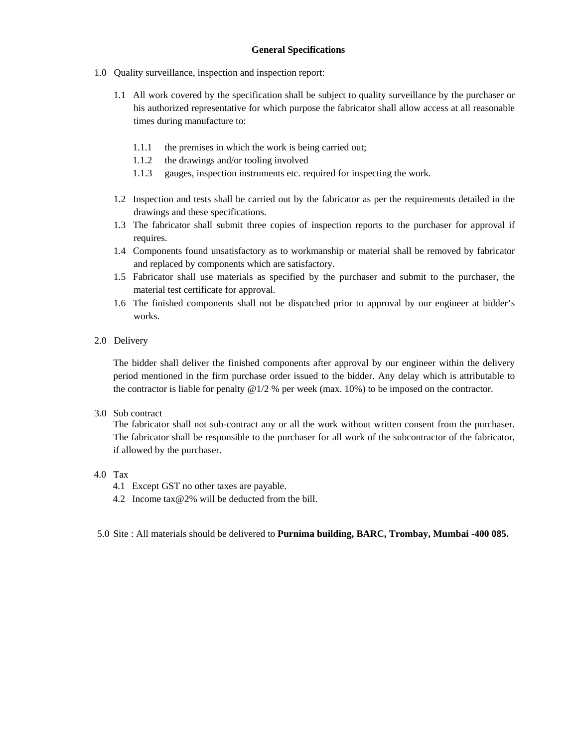- 1.0 Quality surveillance, inspection and inspection report:
	- 1.1 All work covered by the specification shall be subject to quality surveillance by the purchaser or his authorized representative for which purpose the fabricator shall allow access at all reasonable times during manufacture to:
		- 1.1.1 the premises in which the work is being carried out;
		- 1.1.2 the drawings and/or tooling involved
		- 1.1.3 gauges, inspection instruments etc. required for inspecting the work.
	- 1.2 Inspection and tests shall be carried out by the fabricator as per the requirements detailed in the drawings and these specifications.
	- 1.3 The fabricator shall submit three copies of inspection reports to the purchaser for approval if requires.
	- 1.4 Components found unsatisfactory as to workmanship or material shall be removed by fabricator and replaced by components which are satisfactory.
	- 1.5 Fabricator shall use materials as specified by the purchaser and submit to the purchaser, the material test certificate for approval.
	- 1.6 The finished components shall not be dispatched prior to approval by our engineer at bidder's works.
- 2.0 Delivery

The bidder shall deliver the finished components after approval by our engineer within the delivery period mentioned in the firm purchase order issued to the bidder. Any delay which is attributable to the contractor is liable for penalty @1/2 % per week (max. 10%) to be imposed on the contractor.

3.0 Sub contract

The fabricator shall not sub-contract any or all the work without written consent from the purchaser. The fabricator shall be responsible to the purchaser for all work of the subcontractor of the fabricator, if allowed by the purchaser.

- 4.0 Tax
	- 4.1 Except GST no other taxes are payable.
	- 4.2 Income tax@2% will be deducted from the bill.
- 5.0 Site : All materials should be delivered to **Purnima building, BARC, Trombay, Mumbai -400 085.**